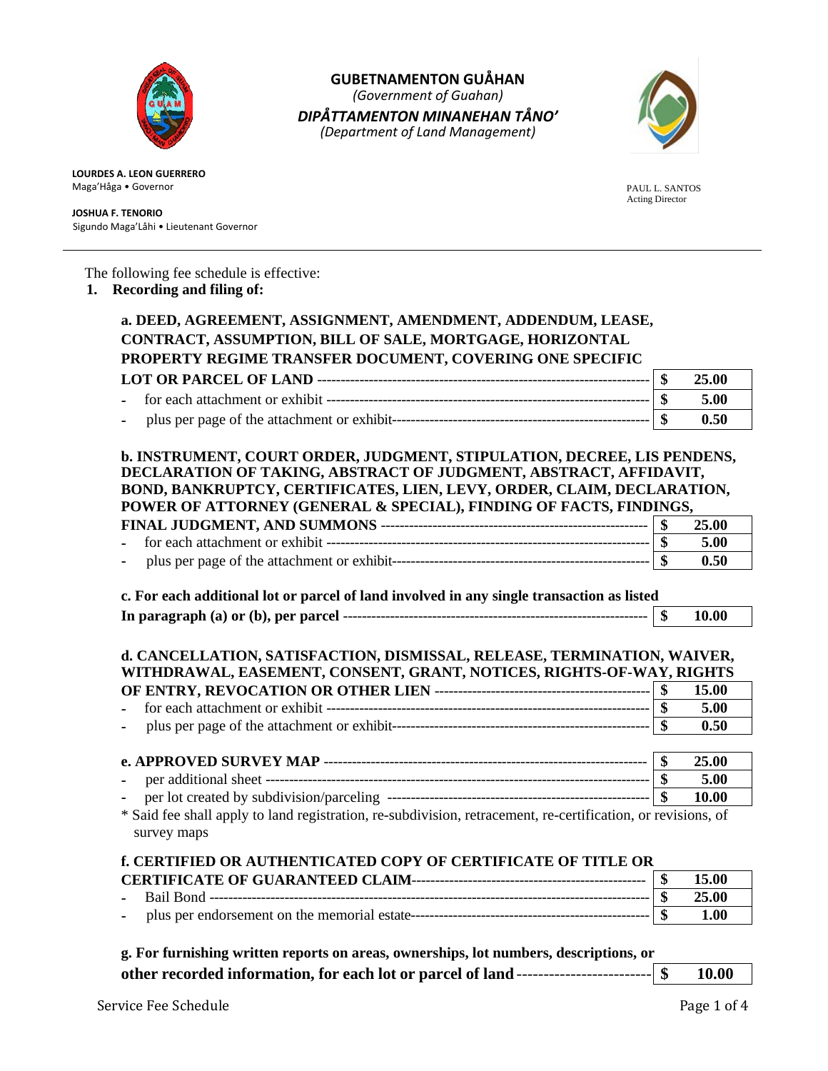

**GUBETNAMENTON GUÅHAN** *(Government of Guahan) DIPÅTTAMENTON MINANEHAN TÅNO' (Department of Land Management)*



**LOURDES A. LEON GUERRERO** Maga'Håga • Governor

#### **JOSHUA F. TENORIO** Sigundo Maga'Låhi • Lieutenant Governor

 PAUL L. SANTOS Acting Director

# The following fee schedule is effective:

## **1. Recording and filing of:**

| a. DEED, AGREEMENT, ASSIGNMENT, AMENDMENT, ADDENDUM, LEASE,                                                                                                                                                                                                                                                                      |                         |                |
|----------------------------------------------------------------------------------------------------------------------------------------------------------------------------------------------------------------------------------------------------------------------------------------------------------------------------------|-------------------------|----------------|
| CONTRACT, ASSUMPTION, BILL OF SALE, MORTGAGE, HORIZONTAL                                                                                                                                                                                                                                                                         |                         |                |
| PROPERTY REGIME TRANSFER DOCUMENT, COVERING ONE SPECIFIC                                                                                                                                                                                                                                                                         |                         |                |
|                                                                                                                                                                                                                                                                                                                                  | \$                      | 25.00          |
|                                                                                                                                                                                                                                                                                                                                  | \$                      | 5.00           |
|                                                                                                                                                                                                                                                                                                                                  | $\overline{\mathbf{s}}$ | 0.50           |
|                                                                                                                                                                                                                                                                                                                                  |                         |                |
| b. INSTRUMENT, COURT ORDER, JUDGMENT, STIPULATION, DECREE, LIS PENDENS,                                                                                                                                                                                                                                                          |                         |                |
| DECLARATION OF TAKING, ABSTRACT OF JUDGMENT, ABSTRACT, AFFIDAVIT,                                                                                                                                                                                                                                                                |                         |                |
| BOND, BANKRUPTCY, CERTIFICATES, LIEN, LEVY, ORDER, CLAIM, DECLARATION,                                                                                                                                                                                                                                                           |                         |                |
| POWER OF ATTORNEY (GENERAL & SPECIAL), FINDING OF FACTS, FINDINGS,                                                                                                                                                                                                                                                               |                         |                |
|                                                                                                                                                                                                                                                                                                                                  | \$                      | 25.00          |
|                                                                                                                                                                                                                                                                                                                                  | \$                      | 5.00           |
|                                                                                                                                                                                                                                                                                                                                  | $\overline{\mathbf{s}}$ | 0.50           |
|                                                                                                                                                                                                                                                                                                                                  |                         |                |
|                                                                                                                                                                                                                                                                                                                                  |                         |                |
|                                                                                                                                                                                                                                                                                                                                  |                         |                |
| c. For each additional lot or parcel of land involved in any single transaction as listed                                                                                                                                                                                                                                        | \$                      | 10.00          |
|                                                                                                                                                                                                                                                                                                                                  |                         |                |
|                                                                                                                                                                                                                                                                                                                                  | \$                      | 15.00          |
|                                                                                                                                                                                                                                                                                                                                  | $\boldsymbol{\$}$       | 5.00           |
|                                                                                                                                                                                                                                                                                                                                  |                         | 0.50           |
|                                                                                                                                                                                                                                                                                                                                  |                         |                |
|                                                                                                                                                                                                                                                                                                                                  | $\overline{\mathbf{s}}$ | 25.00          |
|                                                                                                                                                                                                                                                                                                                                  |                         | 5.00           |
|                                                                                                                                                                                                                                                                                                                                  |                         | 10.00          |
|                                                                                                                                                                                                                                                                                                                                  |                         |                |
| survey maps                                                                                                                                                                                                                                                                                                                      |                         |                |
|                                                                                                                                                                                                                                                                                                                                  |                         |                |
| d. CANCELLATION, SATISFACTION, DISMISSAL, RELEASE, TERMINATION, WAIVER,<br>WITHDRAWAL, EASEMENT, CONSENT, GRANT, NOTICES, RIGHTS-OF-WAY, RIGHTS<br>* Said fee shall apply to land registration, re-subdivision, retracement, re-certification, or revisions, of<br>f. CERTIFIED OR AUTHENTICATED COPY OF CERTIFICATE OF TITLE OR | \$<br>$\overline{\$}$   | 15.00<br>25.00 |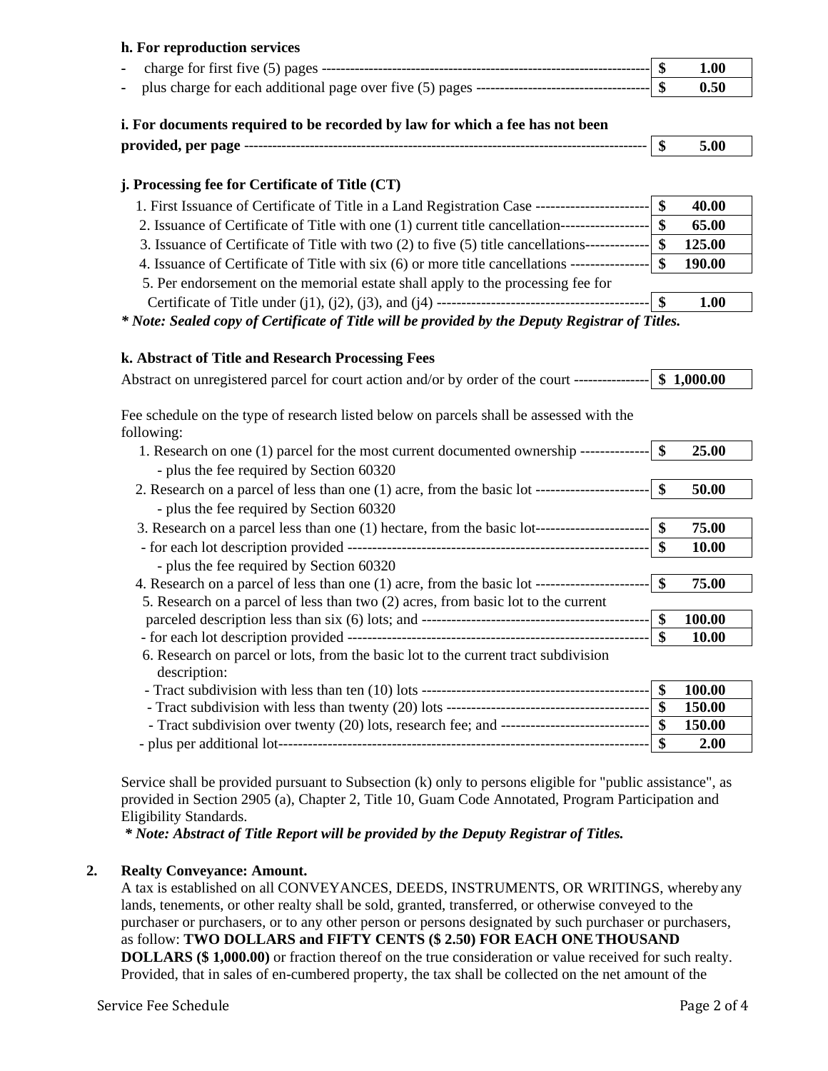## **h. For reproduction services**

| $\sim$ $\sim$ |  | 1.00 |
|---------------|--|------|
|               |  | 0.50 |

## **i. For documents required to be recorded by law for which a fee has not been**

| provided, per page |  | m<br>٠П |  |
|--------------------|--|---------|--|
|                    |  |         |  |

# **j. Processing fee for Certificate of Title (CT)**

| 1. First Issuance of Certificate of Title in a Land Registration Case ------------------   |     | 40.00         |
|--------------------------------------------------------------------------------------------|-----|---------------|
| 2. Issuance of Certificate of Title with one (1) current title cancellation--------------  |     | 65.00         |
| 3. Issuance of Certificate of Title with two (2) to five (5) title cancellations------     |     | 125.00        |
| 4. Issuance of Certificate of Title with six (6) or more title cancellations ------------- | -\$ | <b>190.00</b> |
| 5. Per endorsement on the memorial estate shall apply to the processing fee for            |     |               |
|                                                                                            |     | 1.00          |

*\* Note: Sealed copy of Certificate of Title will be provided by the Deputy Registrar of Titles.*

## **k. Abstract of Title and Research Processing Fees**

| Abstract on unregistered parcel for court action and/or by order of the court ----------------  \$ 1,000.00 |                    |        |
|-------------------------------------------------------------------------------------------------------------|--------------------|--------|
| Fee schedule on the type of research listed below on parcels shall be assessed with the<br>following:       |                    |        |
| 1. Research on one (1) parcel for the most current documented ownership --------------  \$                  |                    | 25.00  |
| - plus the fee required by Section 60320                                                                    |                    |        |
| 2. Research on a parcel of less than one (1) acre, from the basic lot ------------------------- \\$         |                    | 50.00  |
| - plus the fee required by Section 60320                                                                    |                    |        |
| 3. Research on a parcel less than one (1) hectare, from the basic lot-------------------------------        |                    | 75.00  |
|                                                                                                             |                    | 10.00  |
| - plus the fee required by Section 60320                                                                    |                    |        |
| 4. Research on a parcel of less than one (1) acre, from the basic lot ------------------------- \\$         |                    | 75.00  |
| 5. Research on a parcel of less than two (2) acres, from basic lot to the current                           |                    |        |
|                                                                                                             | $\boldsymbol{\$}$  | 100.00 |
|                                                                                                             | $\mathbf{\$}$      | 10.00  |
| 6. Research on parcel or lots, from the basic lot to the current tract subdivision<br>description:          |                    |        |
|                                                                                                             | $\mathbf{\$}$      | 100.00 |
|                                                                                                             |                    | 150.00 |
|                                                                                                             |                    | 150.00 |
|                                                                                                             | $\mathbf{\hat{s}}$ | 2.00   |

Service shall be provided pursuant to Subsection (k) only to persons eligible for "public assistance", as provided in Section 2905 (a), Chapter 2, Title 10, Guam Code Annotated, Program Participation and Eligibility Standards.

*\* Note: Abstract of Title Report will be provided by the Deputy Registrar of Titles.*

## **2. Realty Conveyance: Amount.**

A tax is established on all CONVEYANCES, DEEDS, INSTRUMENTS, OR WRITINGS, whereby any lands, tenements, or other realty shall be sold, granted, transferred, or otherwise conveyed to the purchaser or purchasers, or to any other person or persons designated by such purchaser or purchasers, as follow: **TWO DOLLARS and FIFTY CENTS (\$ 2.50) FOR EACH ONETHOUSAND DOLLARS (\$ 1,000.00)** or fraction thereof on the true consideration or value received for such realty. Provided, that in sales of en-cumbered property, the tax shall be collected on the net amount of the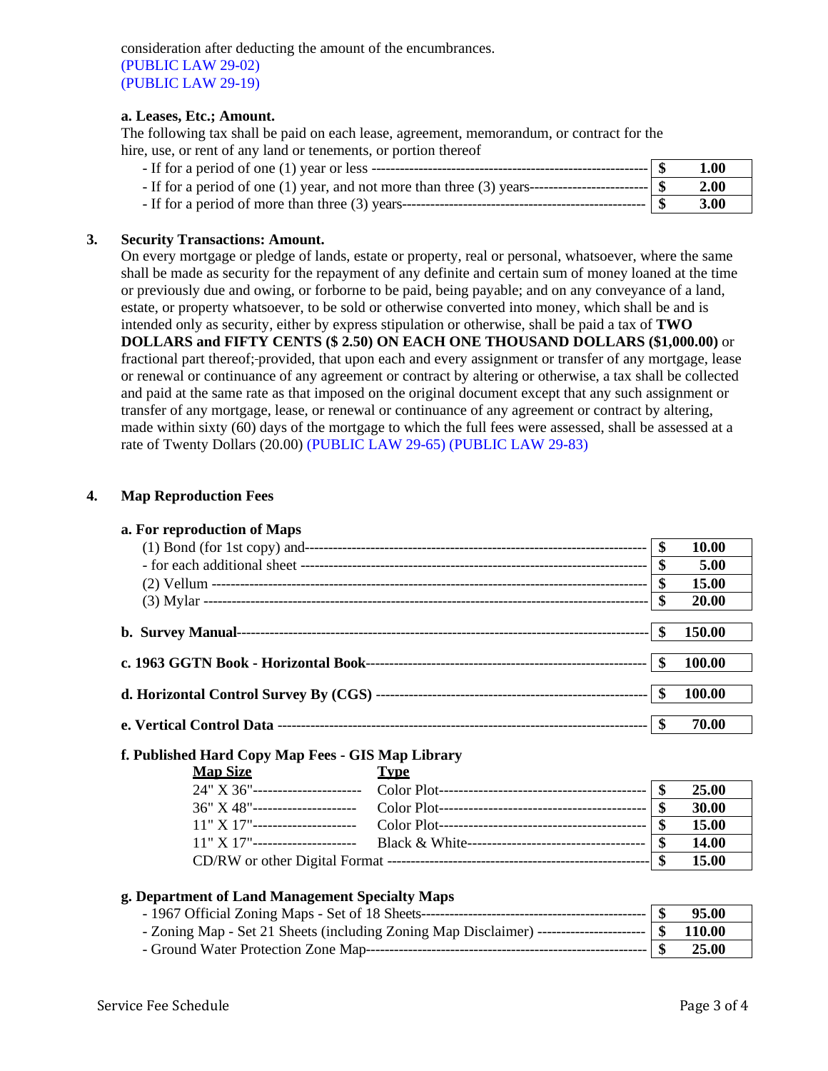consideration after deducting the amount of the encumbrances. (PUBLIC LAW 29-02) (PUBLIC LAW 29-19)

#### **a. Leases, Etc.; Amount.**

The following tax shall be paid on each lease, agreement, memorandum, or contract for the hire, use, or rent of any land or tenements, or portion thereof

|                                                                                                          | <b>1.00</b> |
|----------------------------------------------------------------------------------------------------------|-------------|
| - If for a period of one (1) year, and not more than three (3) years------------------------------ $\$\$ | 2.00        |
|                                                                                                          | 3.00        |

#### **3. Security Transactions: Amount.**

On every mortgage or pledge of lands, estate or property, real or personal, whatsoever, where the same shall be made as security for the repayment of any definite and certain sum of money loaned at the time or previously due and owing, or forborne to be paid, being payable; and on any conveyance of a land, estate, or property whatsoever, to be sold or otherwise converted into money, which shall be and is intended only as security, either by express stipulation or otherwise, shall be paid a tax of **TWO DOLLARS and FIFTY CENTS (\$ 2.50) ON EACH ONE THOUSAND DOLLARS (\$1,000.00)** or fractional part thereof; provided, that upon each and every assignment or transfer of any mortgage, lease or renewal or continuance of any agreement or contract by altering or otherwise, a tax shall be collected and paid at the same rate as that imposed on the original document except that any such assignment or transfer of any mortgage, lease, or renewal or continuance of any agreement or contract by altering, made within sixty (60) days of the mortgage to which the full fees were assessed, shall be assessed at a rate of Twenty Dollars (20.00) (PUBLIC LAW 29-65) (PUBLIC LAW 29-83)

#### **4. Map Reproduction Fees**

| a. For reproduction of Maps                       |                           |              |
|---------------------------------------------------|---------------------------|--------------|
|                                                   | $\mathbf{\$}$             | 10.00        |
|                                                   | \$                        | 5.00         |
|                                                   | $\mathbf{\$}$             | <b>15.00</b> |
|                                                   | $\boldsymbol{\mathsf{s}}$ | 20.00        |
|                                                   |                           | 150.00       |
|                                                   |                           | 100.00       |
|                                                   |                           | 100.00       |
|                                                   |                           | 70.00        |
| f. Published Hard Copy Map Fees - GIS Map Library |                           |              |
| <b>Map Size</b><br><b>Type</b>                    |                           |              |
| 24" X 36"-----------------------                  |                           | 25.00        |
|                                                   | $\mathbf{\$}$             | 30.00        |
| $11" X 17"$ -----------------------               | \$                        | <b>15.00</b> |
| $11" X 17"$ -----------------------               | $\boldsymbol{\mathsf{S}}$ | <b>14.00</b> |
|                                                   | $\mathbf{\$}$             | <b>15.00</b> |

#### **g. Department of Land Management Specialty Maps**

|                                                                                                       | $\blacksquare$ | 95.00 |
|-------------------------------------------------------------------------------------------------------|----------------|-------|
| - Zoning Map - Set 21 Sheets (including Zoning Map Disclaimer) ----------------------------  \$110.00 |                |       |
|                                                                                                       |                | 25.00 |